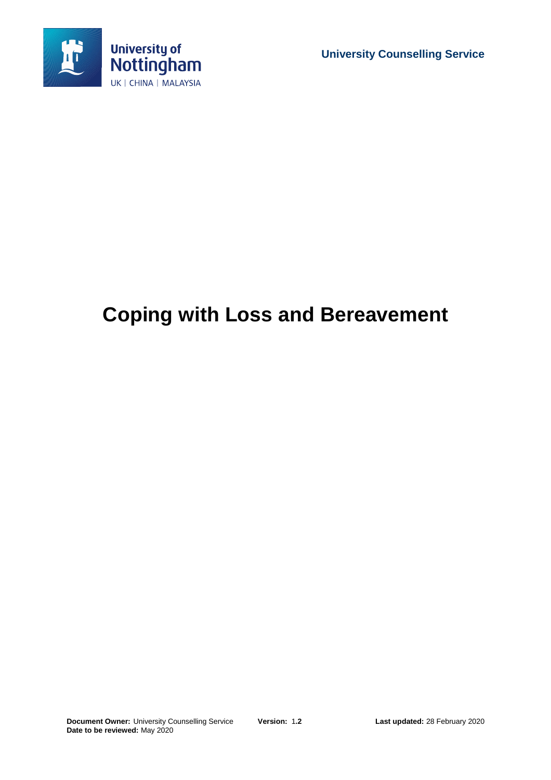

**University Counselling Service**

# **Coping with Loss and Bereavement**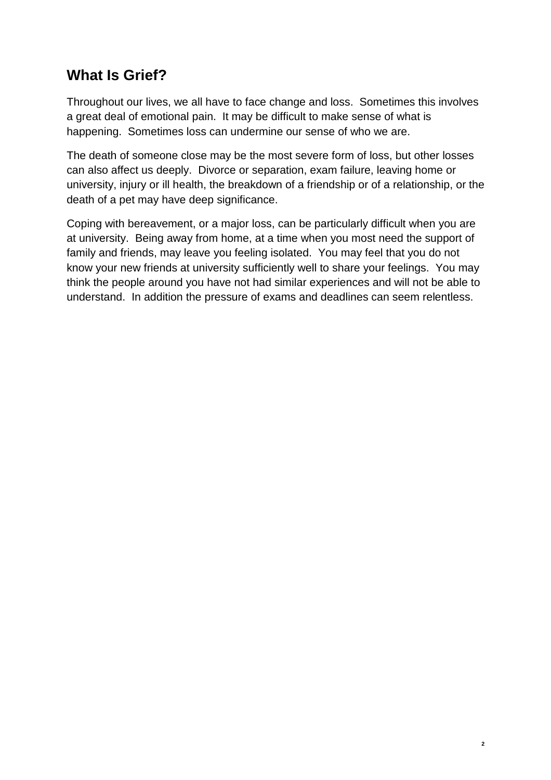# **What Is Grief?**

Throughout our lives, we all have to face change and loss. Sometimes this involves a great deal of emotional pain. It may be difficult to make sense of what is happening. Sometimes loss can undermine our sense of who we are.

The death of someone close may be the most severe form of loss, but other losses can also affect us deeply. Divorce or separation, exam failure, leaving home or university, injury or ill health, the breakdown of a friendship or of a relationship, or the death of a pet may have deep significance.

Coping with bereavement, or a major loss, can be particularly difficult when you are at university. Being away from home, at a time when you most need the support of family and friends, may leave you feeling isolated. You may feel that you do not know your new friends at university sufficiently well to share your feelings. You may think the people around you have not had similar experiences and will not be able to understand. In addition the pressure of exams and deadlines can seem relentless.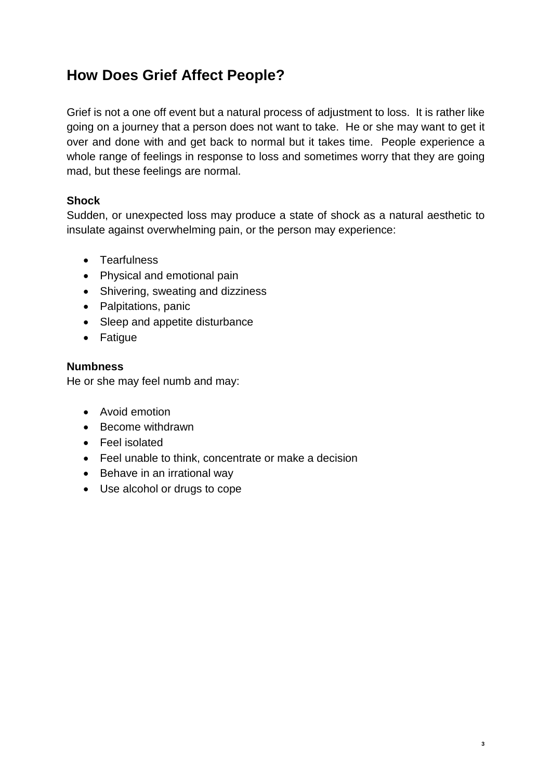# **How Does Grief Affect People?**

Grief is not a one off event but a natural process of adjustment to loss. It is rather like going on a journey that a person does not want to take. He or she may want to get it over and done with and get back to normal but it takes time. People experience a whole range of feelings in response to loss and sometimes worry that they are going mad, but these feelings are normal.

### **Shock**

Sudden, or unexpected loss may produce a state of shock as a natural aesthetic to insulate against overwhelming pain, or the person may experience:

- Tearfulness
- Physical and emotional pain
- Shivering, sweating and dizziness
- Palpitations, panic
- Sleep and appetite disturbance
- Fatigue

#### **Numbness**

He or she may feel numb and may:

- Avoid emotion
- Become withdrawn
- Feel isolated
- Feel unable to think, concentrate or make a decision
- Behave in an irrational way
- Use alcohol or drugs to cope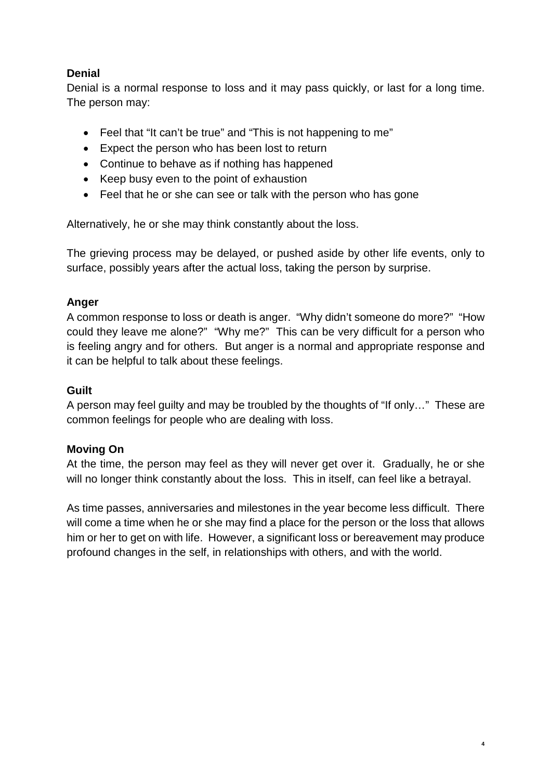### **Denial**

Denial is a normal response to loss and it may pass quickly, or last for a long time. The person may:

- Feel that "It can't be true" and "This is not happening to me"
- Expect the person who has been lost to return
- Continue to behave as if nothing has happened
- Keep busy even to the point of exhaustion
- Feel that he or she can see or talk with the person who has gone

Alternatively, he or she may think constantly about the loss.

The grieving process may be delayed, or pushed aside by other life events, only to surface, possibly years after the actual loss, taking the person by surprise.

#### **Anger**

A common response to loss or death is anger. "Why didn't someone do more?" "How could they leave me alone?" "Why me?" This can be very difficult for a person who is feeling angry and for others. But anger is a normal and appropriate response and it can be helpful to talk about these feelings.

#### **Guilt**

A person may feel guilty and may be troubled by the thoughts of "If only…" These are common feelings for people who are dealing with loss.

#### **Moving On**

At the time, the person may feel as they will never get over it. Gradually, he or she will no longer think constantly about the loss. This in itself, can feel like a betrayal.

As time passes, anniversaries and milestones in the year become less difficult. There will come a time when he or she may find a place for the person or the loss that allows him or her to get on with life. However, a significant loss or bereavement may produce profound changes in the self, in relationships with others, and with the world.

**4**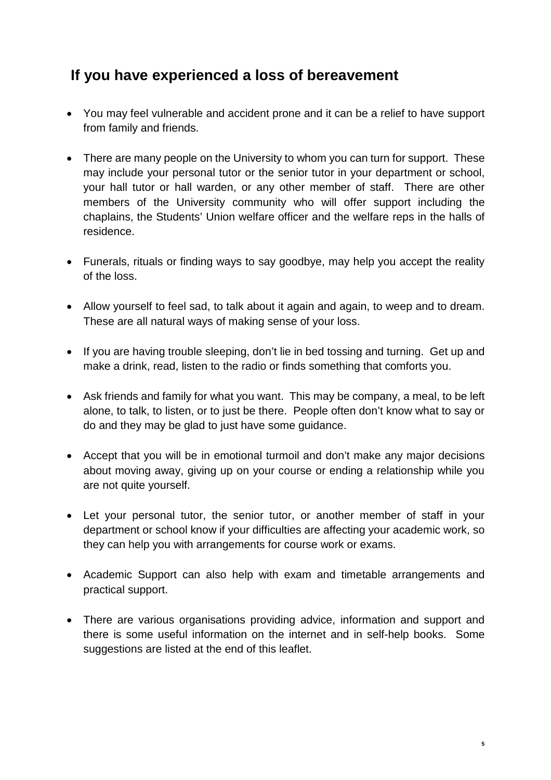### **If you have experienced a loss of bereavement**

- You may feel vulnerable and accident prone and it can be a relief to have support from family and friends.
- There are many people on the University to whom you can turn for support. These may include your personal tutor or the senior tutor in your department or school, your hall tutor or hall warden, or any other member of staff. There are other members of the University community who will offer support including the chaplains, the Students' Union welfare officer and the welfare reps in the halls of residence.
- Funerals, rituals or finding ways to say goodbye, may help you accept the reality of the loss.
- Allow yourself to feel sad, to talk about it again and again, to weep and to dream. These are all natural ways of making sense of your loss.
- If you are having trouble sleeping, don't lie in bed tossing and turning. Get up and make a drink, read, listen to the radio or finds something that comforts you.
- Ask friends and family for what you want. This may be company, a meal, to be left alone, to talk, to listen, or to just be there. People often don't know what to say or do and they may be glad to just have some guidance.
- Accept that you will be in emotional turmoil and don't make any major decisions about moving away, giving up on your course or ending a relationship while you are not quite yourself.
- Let your personal tutor, the senior tutor, or another member of staff in your department or school know if your difficulties are affecting your academic work, so they can help you with arrangements for course work or exams.
- Academic Support can also help with exam and timetable arrangements and practical support.
- There are various organisations providing advice, information and support and there is some useful information on the internet and in self-help books. Some suggestions are listed at the end of this leaflet.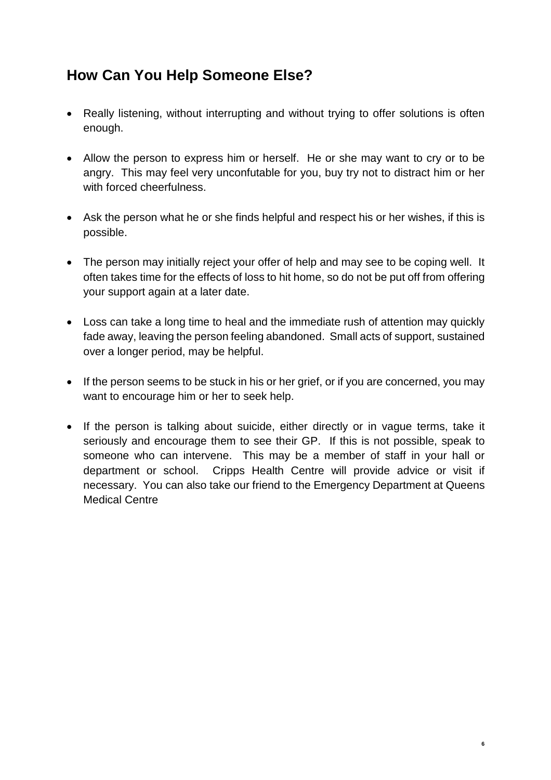### **How Can You Help Someone Else?**

- Really listening, without interrupting and without trying to offer solutions is often enough.
- Allow the person to express him or herself. He or she may want to cry or to be angry. This may feel very unconfutable for you, buy try not to distract him or her with forced cheerfulness.
- Ask the person what he or she finds helpful and respect his or her wishes, if this is possible.
- The person may initially reject your offer of help and may see to be coping well. It often takes time for the effects of loss to hit home, so do not be put off from offering your support again at a later date.
- Loss can take a long time to heal and the immediate rush of attention may quickly fade away, leaving the person feeling abandoned. Small acts of support, sustained over a longer period, may be helpful.
- If the person seems to be stuck in his or her grief, or if you are concerned, you may want to encourage him or her to seek help.
- If the person is talking about suicide, either directly or in vague terms, take it seriously and encourage them to see their GP. If this is not possible, speak to someone who can intervene. This may be a member of staff in your hall or department or school. Cripps Health Centre will provide advice or visit if necessary. You can also take our friend to the Emergency Department at Queens Medical Centre

**6**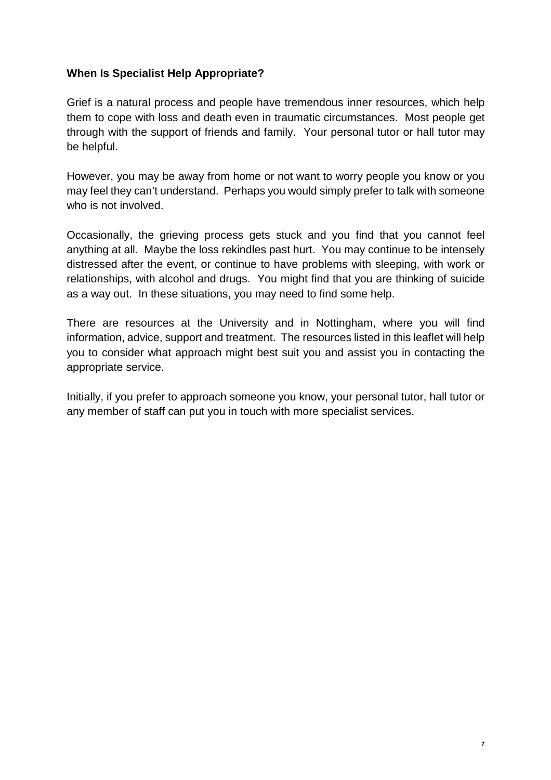#### **When Is Specialist Help Appropriate?**

Grief is a natural process and people have tremendous inner resources, which help them to cope with loss and death even in traumatic circumstances. Most people get through with the support of friends and family. Your personal tutor or hall tutor may be helpful.

However, you may be away from home or not want to worry people you know or you may feel they can't understand. Perhaps you would simply prefer to talk with someone who is not involved.

Occasionally, the grieving process gets stuck and you find that you cannot feel anything at all. Maybe the loss rekindles past hurt. You may continue to be intensely distressed after the event, or continue to have problems with sleeping, with work or relationships, with alcohol and drugs. You might find that you are thinking of suicide as a way out. In these situations, you may need to find some help.

There are resources at the University and in Nottingham, where you will find information, advice, support and treatment. The resources listed in this leaflet will help you to consider what approach might best suit you and assist you in contacting the appropriate service.

Initially, if you prefer to approach someone you know, your personal tutor, hall tutor or any member of staff can put you in touch with more specialist services.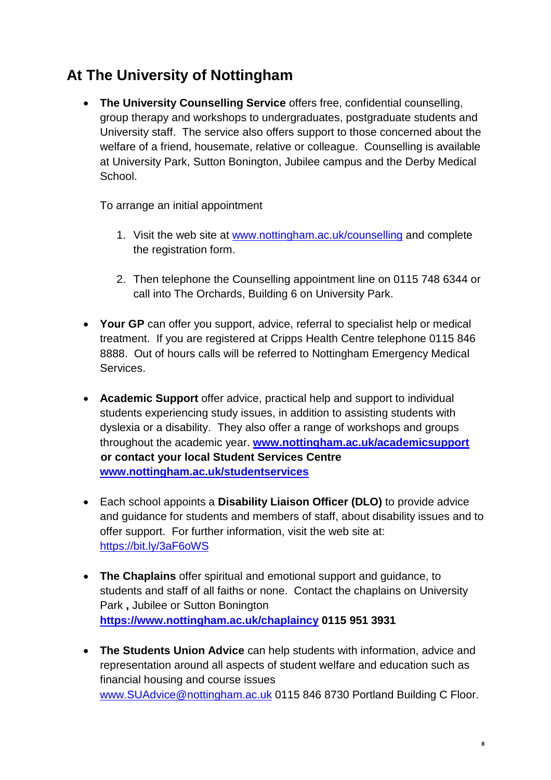# **At The University of Nottingham**

 **The University Counselling Service** offers free, confidential counselling, group therapy and workshops to undergraduates, postgraduate students and University staff. The service also offers support to those concerned about the welfare of a friend, housemate, relative or colleague. Counselling is available at University Park, Sutton Bonington, Jubilee campus and the Derby Medical School.

To arrange an initial appointment

- 1. Visit the web site at www.nottingham.ac.uk/counselling and complete the registration form.
- 2. Then telephone the Counselling appointment line on 0115 748 6344 or call into The Orchards, Building 6 on University Park.
- **Your GP** can offer you support, advice, referral to specialist help or medical treatment. If you are registered at Cripps Health Centre telephone 0115 846 8888. Out of hours calls will be referred to Nottingham Emergency Medical Services.
- **Academic Support** offer advice, practical help and support to individual students experiencing study issues, in addition to assisting students with dyslexia or a disability. They also offer a range of workshops and groups throughout the academic year. **www.nottingham.ac.uk/academicsupport or contact your local Student Services Centre www.nottingham.ac.uk/studentservices**
- Each school appoints a **Disability Liaison Officer (DLO)** to provide advice and guidance for students and members of staff, about disability issues and to offer support. For further information, visit the web site at: https://bit.ly/3aF6oWS
- **The Chaplains** offer spiritual and emotional support and guidance, to students and staff of all faiths or none. Contact the chaplains on University Park **,** Jubilee or Sutton Bonington **https://www.nottingham.ac.uk/chaplaincy 0115 951 3931**
- **The Students Union Advice** can help students with information, advice and representation around all aspects of student welfare and education such as financial housing and course issues www.SUAdvice@nottingham.ac.uk 0115 846 8730 Portland Building C Floor.